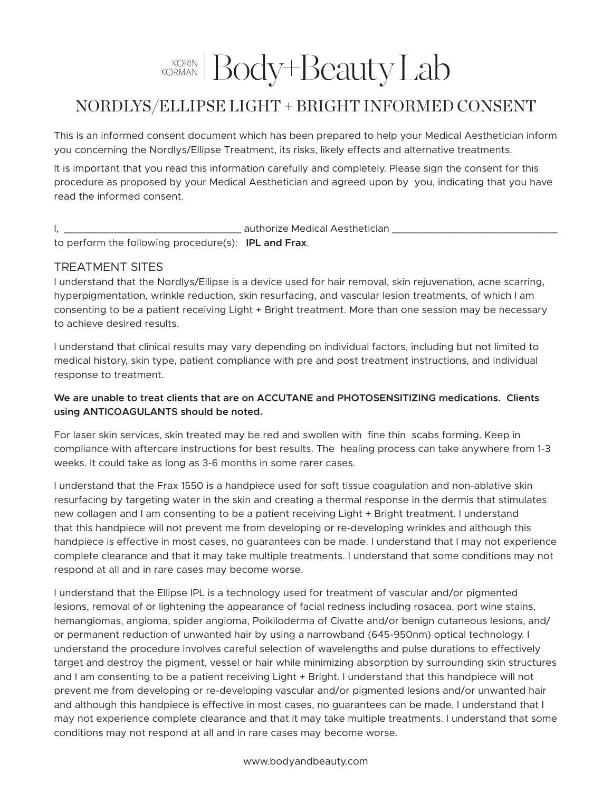# KORIAN Body+Beauty Lab

## NORDLYS/ELLIPSE LIGHT + BRIGHT INFORMED CONSENT

This is an informed consent document which has been prepared to help your Medical Aesthetician inform you concerning the Nordlys/Ellipse Treatment, its risks, likely effects and alternative treatments.

It is important that you read this information carefully and completely. Please sign the consent for this procedure as proposed by your Medical Aesthetician and agreed upon by you, indicating that you have read the informed consent.

#### I, \_\_\_\_\_\_\_\_\_\_\_\_\_\_\_\_\_\_\_\_\_\_\_\_\_\_\_\_\_\_ authorize Medical Aesthetician \_\_\_\_\_\_\_\_\_\_\_\_\_\_\_\_\_\_\_\_\_\_\_\_\_\_\_\_ to perform the following procedure(s): **IPL and Frax**.

#### TREATMENT SITES

I understand that the Nordlys/Ellipse is a device used for hair removal, skin rejuvenation, acne scarring, hyperpigmentation, wrinkle reduction, skin resurfacing, and vascular lesion treatments, of which I am consenting to be a patient receiving Light + Bright treatment. More than one session may be necessary to achieve desired results.

I understand that clinical results may vary depending on individual factors, including but not limited to medical history, skin type, patient compliance with pre and post treatment instructions, and individual response to treatment.

#### **We are unable to treat clients that are on ACCUTANE and PHOTOSENSITIZING medications. Clients using ANTICOAGULANTS should be noted.**

For laser skin services, skin treated may be red and swollen with fine thin scabs forming. Keep in compliance with aftercare instructions for best results. The healing process can take anywhere from 1-3 weeks. It could take as long as 3-6 months in some rarer cases.

I understand that the Frax 1550 is a handpiece used for soft tissue coagulation and non-ablative skin resurfacing by targeting water in the skin and creating a thermal response in the dermis that stimulates new collagen and I am consenting to be a patient receiving Light + Bright treatment. I understand that this handpiece will not prevent me from developing or re-developing wrinkles and although this handpiece is effective in most cases, no guarantees can be made. I understand that I may not experience complete clearance and that it may take multiple treatments. I understand that some conditions may not respond at all and in rare cases may become worse.

I understand that the Ellipse IPL is a technology used for treatment of vascular and/or pigmented lesions, removal of or lightening the appearance of facial redness including rosacea, port wine stains, hemangiomas, angioma, spider angioma, Poikiloderma of Civatte and/or benign cutaneous lesions, and/ or permanent reduction of unwanted hair by using a narrowband (645-950nm) optical technology. I understand the procedure involves careful selection of wavelengths and pulse durations to effectively target and destroy the pigment, vessel or hair while minimizing absorption by surrounding skin structures and I am consenting to be a patient receiving Light + Bright. I understand that this handpiece will not prevent me from developing or re-developing vascular and/or pigmented lesions and/or unwanted hair and although this handpiece is effective in most cases, no guarantees can be made. I understand that I may not experience complete clearance and that it may take multiple treatments. I understand that some conditions may not respond at all and in rare cases may become worse.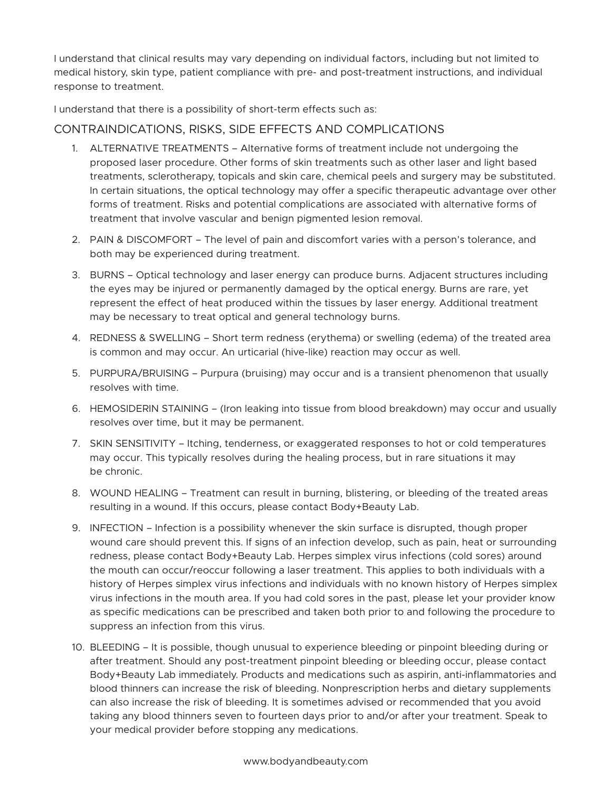I understand that clinical results may vary depending on individual factors, including but not limited to medical history, skin type, patient compliance with pre- and post-treatment instructions, and individual response to treatment.

I understand that there is a possibility of short-term effects such as:

### CONTRAINDICATIONS, RISKS, SIDE EFFECTS AND COMPLICATIONS

- 1. ALTERNATIVE TREATMENTS Alternative forms of treatment include not undergoing the proposed laser procedure. Other forms of skin treatments such as other laser and light based treatments, sclerotherapy, topicals and skin care, chemical peels and surgery may be substituted. In certain situations, the optical technology may offer a specific therapeutic advantage over other forms of treatment. Risks and potential complications are associated with alternative forms of treatment that involve vascular and benign pigmented lesion removal.
- 2. PAIN & DISCOMFORT The level of pain and discomfort varies with a person's tolerance, and both may be experienced during treatment.
- 3. BURNS Optical technology and laser energy can produce burns. Adjacent structures including the eyes may be injured or permanently damaged by the optical energy. Burns are rare, yet represent the effect of heat produced within the tissues by laser energy. Additional treatment may be necessary to treat optical and general technology burns.
- 4. REDNESS & SWELLING Short term redness (erythema) or swelling (edema) of the treated area is common and may occur. An urticarial (hive-like) reaction may occur as well.
- 5. PURPURA/BRUISING Purpura (bruising) may occur and is a transient phenomenon that usually resolves with time.
- 6. HEMOSIDERIN STAINING (Iron leaking into tissue from blood breakdown) may occur and usually resolves over time, but it may be permanent.
- 7. SKIN SENSITIVITY Itching, tenderness, or exaggerated responses to hot or cold temperatures may occur. This typically resolves during the healing process, but in rare situations it may be chronic.
- 8. WOUND HEALING Treatment can result in burning, blistering, or bleeding of the treated areas resulting in a wound. If this occurs, please contact Body+Beauty Lab.
- 9. INFECTION Infection is a possibility whenever the skin surface is disrupted, though proper wound care should prevent this. If signs of an infection develop, such as pain, heat or surrounding redness, please contact Body+Beauty Lab. Herpes simplex virus infections (cold sores) around the mouth can occur/reoccur following a laser treatment. This applies to both individuals with a history of Herpes simplex virus infections and individuals with no known history of Herpes simplex virus infections in the mouth area. If you had cold sores in the past, please let your provider know as specific medications can be prescribed and taken both prior to and following the procedure to suppress an infection from this virus.
- 10. BLEEDING It is possible, though unusual to experience bleeding or pinpoint bleeding during or after treatment. Should any post-treatment pinpoint bleeding or bleeding occur, please contact Body+Beauty Lab immediately. Products and medications such as aspirin, anti-inflammatories and blood thinners can increase the risk of bleeding. Nonprescription herbs and dietary supplements can also increase the risk of bleeding. It is sometimes advised or recommended that you avoid taking any blood thinners seven to fourteen days prior to and/or after your treatment. Speak to your medical provider before stopping any medications.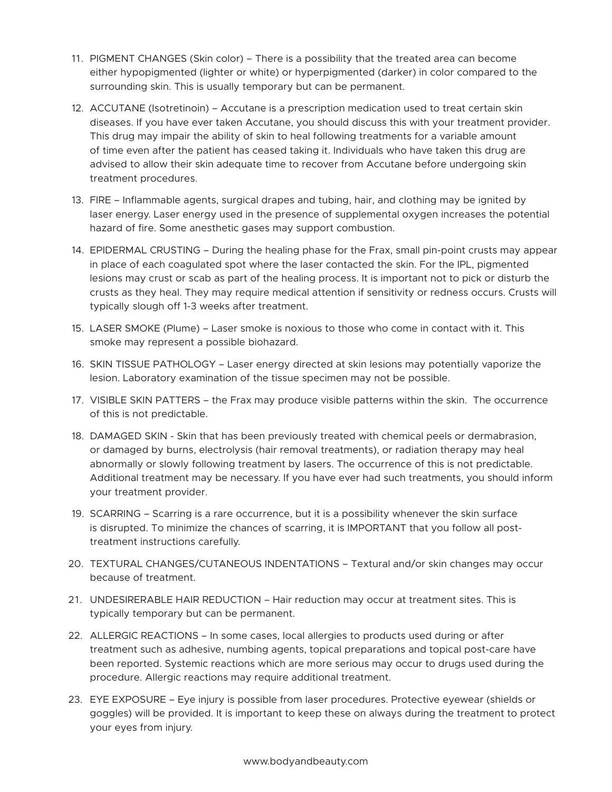- 11. PIGMENT CHANGES (Skin color) There is a possibility that the treated area can become either hypopigmented (lighter or white) or hyperpigmented (darker) in color compared to the surrounding skin. This is usually temporary but can be permanent.
- 12. ACCUTANE (Isotretinoin) Accutane is a prescription medication used to treat certain skin diseases. If you have ever taken Accutane, you should discuss this with your treatment provider. This drug may impair the ability of skin to heal following treatments for a variable amount of time even after the patient has ceased taking it. Individuals who have taken this drug are advised to allow their skin adequate time to recover from Accutane before undergoing skin treatment procedures.
- 13. FIRE Inflammable agents, surgical drapes and tubing, hair, and clothing may be ignited by laser energy. Laser energy used in the presence of supplemental oxygen increases the potential hazard of fire. Some anesthetic gases may support combustion.
- 14. EPIDERMAL CRUSTING During the healing phase for the Frax, small pin-point crusts may appear in place of each coagulated spot where the laser contacted the skin. For the IPL, pigmented lesions may crust or scab as part of the healing process. It is important not to pick or disturb the crusts as they heal. They may require medical attention if sensitivity or redness occurs. Crusts will typically slough off 1-3 weeks after treatment.
- 15. LASER SMOKE (Plume) Laser smoke is noxious to those who come in contact with it. This smoke may represent a possible biohazard.
- 16. SKIN TISSUE PATHOLOGY Laser energy directed at skin lesions may potentially vaporize the lesion. Laboratory examination of the tissue specimen may not be possible.
- 17. VISIBLE SKIN PATTERS the Frax may produce visible patterns within the skin. The occurrence of this is not predictable.
- 18. DAMAGED SKIN Skin that has been previously treated with chemical peels or dermabrasion, or damaged by burns, electrolysis (hair removal treatments), or radiation therapy may heal abnormally or slowly following treatment by lasers. The occurrence of this is not predictable. Additional treatment may be necessary. If you have ever had such treatments, you should inform your treatment provider.
- 19. SCARRING Scarring is a rare occurrence, but it is a possibility whenever the skin surface is disrupted. To minimize the chances of scarring, it is IMPORTANT that you follow all posttreatment instructions carefully.
- 20. TEXTURAL CHANGES/CUTANEOUS INDENTATIONS Textural and/or skin changes may occur because of treatment.
- 21. UNDESIRERABLE HAIR REDUCTION Hair reduction may occur at treatment sites. This is typically temporary but can be permanent.
- 22. ALLERGIC REACTIONS In some cases, local allergies to products used during or after treatment such as adhesive, numbing agents, topical preparations and topical post-care have been reported. Systemic reactions which are more serious may occur to drugs used during the procedure. Allergic reactions may require additional treatment.
- 23. EYE EXPOSURE Eye injury is possible from laser procedures. Protective eyewear (shields or goggles) will be provided. It is important to keep these on always during the treatment to protect your eyes from injury.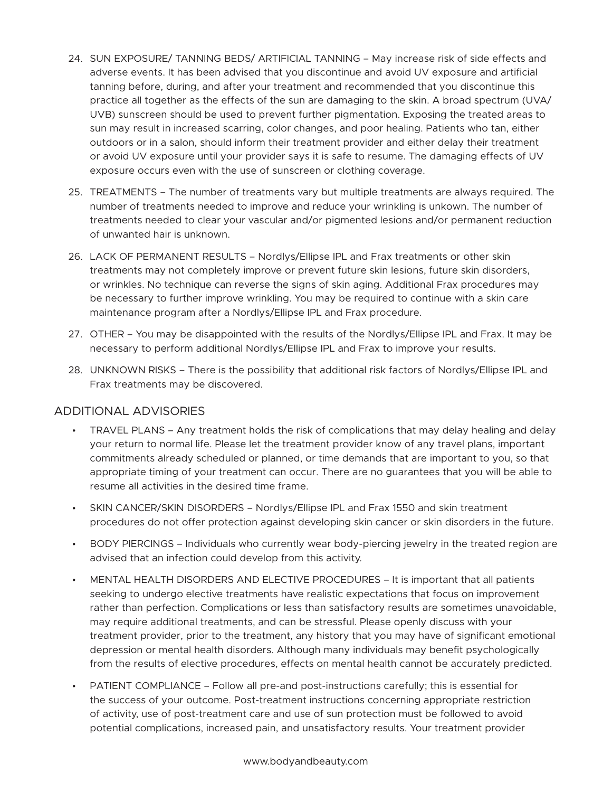- 24. SUN EXPOSURE/ TANNING BEDS/ ARTIFICIAL TANNING May increase risk of side effects and adverse events. It has been advised that you discontinue and avoid UV exposure and artificial tanning before, during, and after your treatment and recommended that you discontinue this practice all together as the effects of the sun are damaging to the skin. A broad spectrum (UVA/ UVB) sunscreen should be used to prevent further pigmentation. Exposing the treated areas to sun may result in increased scarring, color changes, and poor healing. Patients who tan, either outdoors or in a salon, should inform their treatment provider and either delay their treatment or avoid UV exposure until your provider says it is safe to resume. The damaging effects of UV exposure occurs even with the use of sunscreen or clothing coverage.
- 25. TREATMENTS The number of treatments vary but multiple treatments are always required. The number of treatments needed to improve and reduce your wrinkling is unkown. The number of treatments needed to clear your vascular and/or pigmented lesions and/or permanent reduction of unwanted hair is unknown.
- 26. LACK OF PERMANENT RESULTS Nordlys/Ellipse IPL and Frax treatments or other skin treatments may not completely improve or prevent future skin lesions, future skin disorders, or wrinkles. No technique can reverse the signs of skin aging. Additional Frax procedures may be necessary to further improve wrinkling. You may be required to continue with a skin care maintenance program after a Nordlys/Ellipse IPL and Frax procedure.
- 27. OTHER You may be disappointed with the results of the Nordlys/Ellipse IPL and Frax. It may be necessary to perform additional Nordlys/Ellipse IPL and Frax to improve your results.
- 28. UNKNOWN RISKS There is the possibility that additional risk factors of Nordlys/Ellipse IPL and Frax treatments may be discovered.

#### ADDITIONAL ADVISORIES

- TRAVEL PLANS Any treatment holds the risk of complications that may delay healing and delay your return to normal life. Please let the treatment provider know of any travel plans, important commitments already scheduled or planned, or time demands that are important to you, so that appropriate timing of your treatment can occur. There are no guarantees that you will be able to resume all activities in the desired time frame.
- SKIN CANCER/SKIN DISORDERS Nordlys/Ellipse IPL and Frax 1550 and skin treatment procedures do not offer protection against developing skin cancer or skin disorders in the future.
- BODY PIERCINGS Individuals who currently wear body-piercing jewelry in the treated region are advised that an infection could develop from this activity.
- MENTAL HEALTH DISORDERS AND ELECTIVE PROCEDURES It is important that all patients seeking to undergo elective treatments have realistic expectations that focus on improvement rather than perfection. Complications or less than satisfactory results are sometimes unavoidable, may require additional treatments, and can be stressful. Please openly discuss with your treatment provider, prior to the treatment, any history that you may have of significant emotional depression or mental health disorders. Although many individuals may benefit psychologically from the results of elective procedures, effects on mental health cannot be accurately predicted.
- PATIENT COMPLIANCE Follow all pre-and post-instructions carefully; this is essential for the success of your outcome. Post-treatment instructions concerning appropriate restriction of activity, use of post-treatment care and use of sun protection must be followed to avoid potential complications, increased pain, and unsatisfactory results. Your treatment provider